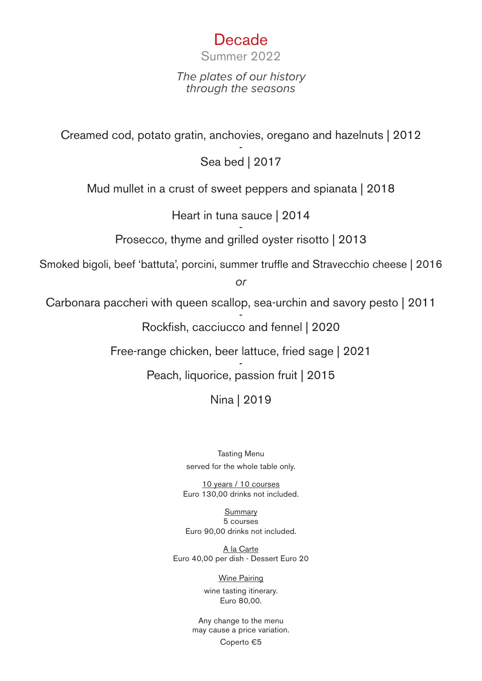## Decade

Summer 2022

*The plates of our history through the seasons*

Creamed cod, potato gratin, anchovies, oregano and hazelnuts | 2012

Sea bed | 2017

Mud mullet in a crust of sweet peppers and spianata | 2018

Heart in tuna sauce | 2014

- Prosecco, thyme and grilled oyster risotto | 2013

Smoked bigoli, beef 'battuta', porcini, summer truffle and Stravecchio cheese | 2016

*or*

Carbonara paccheri with queen scallop, sea-urchin and savory pesto | 2011

- Rockfish, cacciucco and fennel | 2020

Free-range chicken, beer lattuce, fried sage | 2021

- Peach, liquorice, passion fruit | 2015

Nina | 2019

Tasting Menu served for the whole table only.

10 years / 10 courses Euro 130,00 drinks not included.

Summary 5 courses Euro 90,00 drinks not included.

A la Carte Euro 40,00 per dish - Dessert Euro 20

> Wine Pairing wine tasting itinerary. Euro 80,00.

Any change to the menu may cause a price variation.

Coperto €5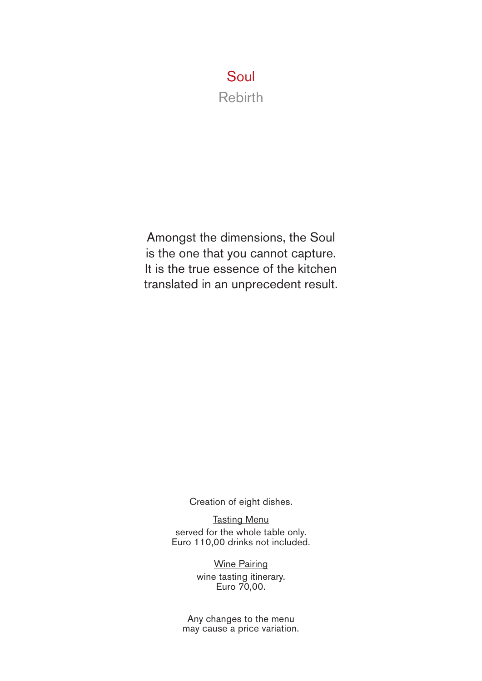## Soul Rebirth

Amongst the dimensions, the Soul is the one that you cannot capture. It is the true essence of the kitchen translated in an unprecedent result.

Creation of eight dishes.

**Tasting Menu** served for the whole table only. Euro 110,00 drinks not included.

> Wine Pairing wine tasting itinerary. Euro 70,00.

Any changes to the menu may cause a price variation.